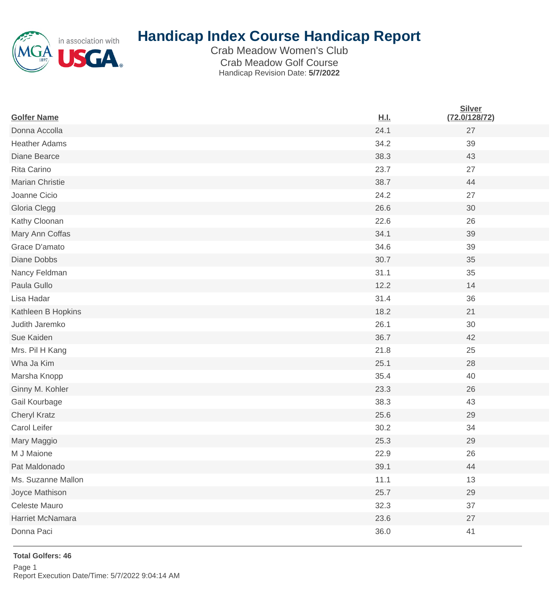

## **Handicap Index Course Handicap Report**

Crab Meadow Women's Club Crab Meadow Golf Course Handicap Revision Date: **5/7/2022**

| <b>Golfer Name</b>   | <u>H.I.</u> | <b>Silver</b><br>(72.0/128/72) |
|----------------------|-------------|--------------------------------|
| Donna Accolla        | 24.1        | 27                             |
| <b>Heather Adams</b> | 34.2        | 39                             |
| Diane Bearce         | 38.3        | 43                             |
| Rita Carino          | 23.7        | 27                             |
| Marian Christie      | 38.7        | 44                             |
| Joanne Cicio         | 24.2        | 27                             |
| Gloria Clegg         | 26.6        | 30                             |
| Kathy Cloonan        | 22.6        | 26                             |
| Mary Ann Coffas      | 34.1        | 39                             |
| Grace D'amato        | 34.6        | 39                             |
| <b>Diane Dobbs</b>   | 30.7        | 35                             |
| Nancy Feldman        | 31.1        | 35                             |
| Paula Gullo          | 12.2        | 14                             |
| Lisa Hadar           | 31.4        | 36                             |
| Kathleen B Hopkins   | 18.2        | 21                             |
| Judith Jaremko       | 26.1        | 30                             |
| Sue Kaiden           | 36.7        | 42                             |
| Mrs. Pil H Kang      | 21.8        | 25                             |
| Wha Ja Kim           | 25.1        | 28                             |
| Marsha Knopp         | 35.4        | 40                             |
| Ginny M. Kohler      | 23.3        | 26                             |
| Gail Kourbage        | 38.3        | 43                             |
| Cheryl Kratz         | 25.6        | 29                             |
| Carol Leifer         | 30.2        | 34                             |
| Mary Maggio          | 25.3        | 29                             |
| M J Maione           | 22.9        | 26                             |
| Pat Maldonado        | 39.1        | 44                             |
| Ms. Suzanne Mallon   | 11.1        | 13                             |
| Joyce Mathison       | 25.7        | 29                             |
| Celeste Mauro        | 32.3        | 37                             |
| Harriet McNamara     | 23.6        | 27                             |
| Donna Paci           | 36.0        | 41                             |